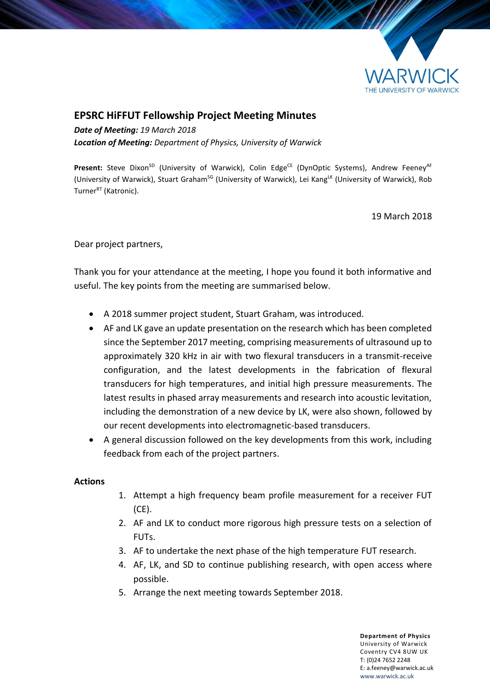

## **EPSRC HiFFUT Fellowship Project Meeting Minutes**

*Date of Meeting: 19 March 2018 Location of Meeting: Department of Physics, University of Warwick*

Present: Steve Dixon<sup>SD</sup> (University of Warwick), Colin Edge<sup>CE</sup> (DynOptic Systems), Andrew Feeney<sup>AF</sup> (University of Warwick), Stuart Graham<sup>sG</sup> (University of Warwick), Lei Kang<sup>LK</sup> (University of Warwick), Rob Turner<sup>RT</sup> (Katronic).

19 March 2018

Dear project partners,

Thank you for your attendance at the meeting, I hope you found it both informative and useful. The key points from the meeting are summarised below.

- A 2018 summer project student, Stuart Graham, was introduced.
- AF and LK gave an update presentation on the research which has been completed since the September 2017 meeting, comprising measurements of ultrasound up to approximately 320 kHz in air with two flexural transducers in a transmit-receive configuration, and the latest developments in the fabrication of flexural transducers for high temperatures, and initial high pressure measurements. The latest results in phased array measurements and research into acoustic levitation, including the demonstration of a new device by LK, were also shown, followed by our recent developments into electromagnetic-based transducers.
- A general discussion followed on the key developments from this work, including feedback from each of the project partners.

## **Actions**

- 1. Attempt a high frequency beam profile measurement for a receiver FUT (CE).
- 2. AF and LK to conduct more rigorous high pressure tests on a selection of FUTs.
- 3. AF to undertake the next phase of the high temperature FUT research.
- 4. AF, LK, and SD to continue publishing research, with open access where possible.
- 5. Arrange the next meeting towards September 2018.

**Department of Physics** University of Warwick Coventry CV4 8UW UK T: (0)24 7652 2248 E: a.feeney@warwick.ac.uk <www.warwick.ac.uk>